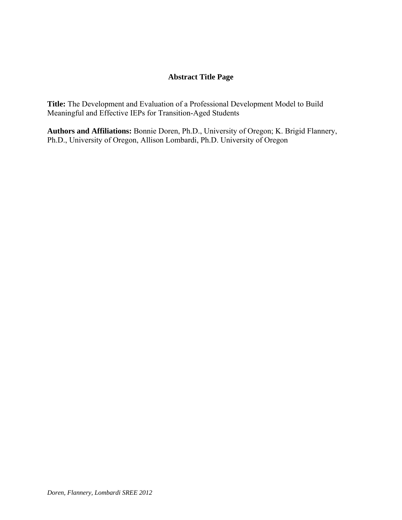## **Abstract Title Page**

**Title:** The Development and Evaluation of a Professional Development Model to Build Meaningful and Effective IEPs for Transition-Aged Students

**Authors and Affiliations:** Bonnie Doren, Ph.D., University of Oregon; K. Brigid Flannery, Ph.D., University of Oregon, Allison Lombardi, Ph.D. University of Oregon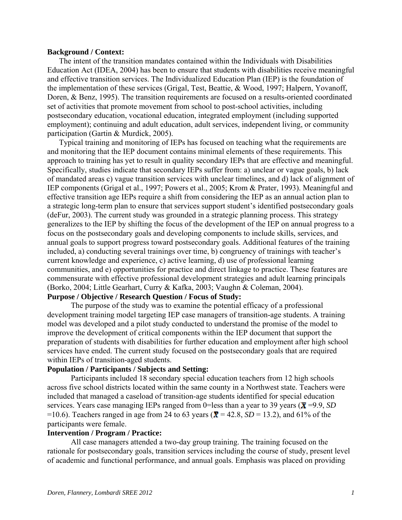#### **Background / Context:**

The intent of the transition mandates contained within the Individuals with Disabilities Education Act (IDEA, 2004) has been to ensure that students with disabilities receive meaningful and effective transition services. The Individualized Education Plan (IEP) is the foundation of the implementation of these services (Grigal, Test, Beattie, & Wood, 1997; Halpern, Yovanoff, Doren, & Benz, 1995). The transition requirements are focused on a results-oriented coordinated set of activities that promote movement from school to post-school activities, including postsecondary education, vocational education, integrated employment (including supported employment); continuing and adult education, adult services, independent living, or community participation (Gartin & Murdick, 2005).

Typical training and monitoring of IEPs has focused on teaching what the requirements are and monitoring that the IEP document contains minimal elements of these requirements. This approach to training has yet to result in quality secondary IEPs that are effective and meaningful. Specifically, studies indicate that secondary IEPs suffer from: a) unclear or vague goals, b) lack of mandated areas c) vague transition services with unclear timelines, and d) lack of alignment of IEP components (Grigal et al., 1997; Powers et al., 2005; Krom & Prater, 1993). Meaningful and effective transition age IEPs require a shift from considering the IEP as an annual action plan to a strategic long-term plan to ensure that services support student's identified postsecondary goals (deFur, 2003). The current study was grounded in a strategic planning process. This strategy generalizes to the IEP by shifting the focus of the development of the IEP on annual progress to a focus on the postsecondary goals and developing components to include skills, services, and annual goals to support progress toward postsecondary goals. Additional features of the training included, a) conducting several trainings over time, b) congruency of trainings with teacher's current knowledge and experience, c) active learning, d) use of professional learning communities, and e) opportunities for practice and direct linkage to practice. These features are commensurate with effective professional development strategies and adult learning principals (Borko, 2004; Little Gearhart, Curry & Kafka, 2003; Vaughn & Coleman, 2004).

### **Purpose / Objective / Research Question / Focus of Study:**

The purpose of the study was to examine the potential efficacy of a professional development training model targeting IEP case managers of transition-age students. A training model was developed and a pilot study conducted to understand the promise of the model to improve the development of critical components within the IEP document that support the preparation of students with disabilities for further education and employment after high school services have ended. The current study focused on the postsecondary goals that are required within IEPs of transition-aged students.

### **Population / Participants / Subjects and Setting:**

Participants included 18 secondary special education teachers from 12 high schools across five school districts located within the same county in a Northwest state. Teachers were included that managed a caseload of transition-age students identified for special education services. Years case managing IEPs ranged from 0=less than a year to 39 years ( $\bar{x}$ =9.9, *SD*) =10.6). Teachers ranged in age from 24 to 63 years ( $\overline{\mathbf{x}}$  = 42.8, *SD* = 13.2), and 61% of the participants were female.

#### **Intervention / Program / Practice:**

All case managers attended a two-day group training. The training focused on the rationale for postsecondary goals, transition services including the course of study, present level of academic and functional performance, and annual goals. Emphasis was placed on providing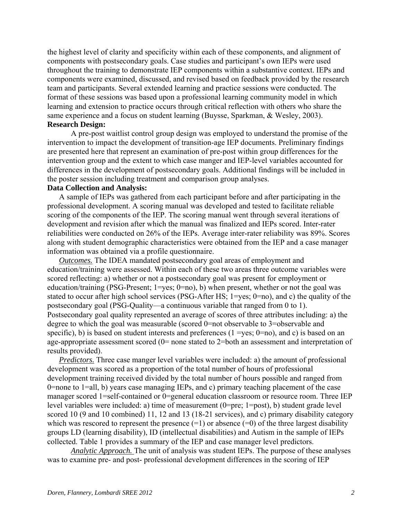the highest level of clarity and specificity within each of these components, and alignment of components with postsecondary goals. Case studies and participant's own IEPs were used throughout the training to demonstrate IEP components within a substantive context. IEPs and components were examined, discussed, and revised based on feedback provided by the research team and participants. Several extended learning and practice sessions were conducted. The format of these sessions was based upon a professional learning community model in which learning and extension to practice occurs through critical reflection with others who share the same experience and a focus on student learning (Buysse, Sparkman, & Wesley, 2003). **Research Design:** 

A pre-post waitlist control group design was employed to understand the promise of the intervention to impact the development of transition-age IEP documents. Preliminary findings are presented here that represent an examination of pre-post within group differences for the intervention group and the extent to which case manger and IEP-level variables accounted for differences in the development of postsecondary goals. Additional findings will be included in the poster session including treatment and comparison group analyses.

#### **Data Collection and Analysis:**

A sample of IEPs was gathered from each participant before and after participating in the professional development. A scoring manual was developed and tested to facilitate reliable scoring of the components of the IEP. The scoring manual went through several iterations of development and revision after which the manual was finalized and IEPs scored. Inter-rater reliabilities were conducted on 26% of the IEPs. Average inter-rater reliability was 89%. Scores along with student demographic characteristics were obtained from the IEP and a case manager information was obtained via a profile questionnaire.

*Outcomes.* The IDEA mandated postsecondary goal areas of employment and education/training were assessed. Within each of these two areas three outcome variables were scored reflecting: a) whether or not a postsecondary goal was present for employment or education/training (PSG-Present; 1=yes; 0=no), b) when present, whether or not the goal was stated to occur after high school services (PSG-After HS; 1=yes; 0=no), and c) the quality of the postsecondary goal (PSG-Quality—a continuous variable that ranged from 0 to 1). Postsecondary goal quality represented an average of scores of three attributes including: a) the degree to which the goal was measurable (scored 0=not observable to 3=observable and specific), b) is based on student interests and preferences  $(1 = yes; 0 = no)$ , and c) is based on an age-appropriate assessment scored (0= none stated to 2=both an assessment and interpretation of results provided).

*Predictors.* Three case manger level variables were included: a) the amount of professional development was scored as a proportion of the total number of hours of professional development training received divided by the total number of hours possible and ranged from 0=none to 1=all, b) years case managing IEPs, and c) primary teaching placement of the case manager scored 1=self-contained or 0=general education classroom or resource room. Three IEP level variables were included: a) time of measurement (0=pre; 1=post), b) student grade level scored 10 (9 and 10 combined) 11, 12 and 13 (18-21 services), and c) primary disability category which was rescored to represent the presence  $(=1)$  or absence  $(=0)$  of the three largest disability groups LD (learning disability), ID (intellectual disabilities) and Autism in the sample of IEPs collected. Table 1 provides a summary of the IEP and case manager level predictors.

*Analytic Approach.* The unit of analysis was student IEPs. The purpose of these analyses was to examine pre- and post- professional development differences in the scoring of IEP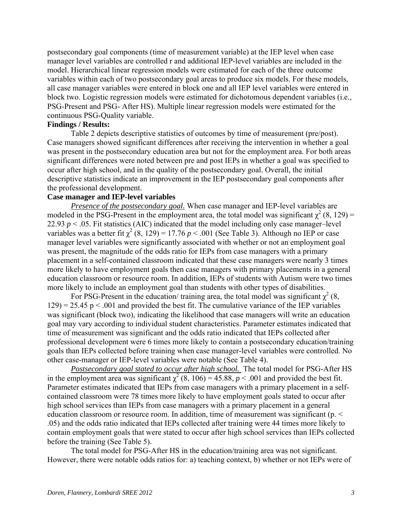postsecondary goal components (time of measurement variable) at the IEP level when case manager level variables are controlled r and additional IEP-level variables are included in the model. Hierarchical linear regression models were estimated for each of the three outcome variables within each of two postsecondary goal areas to produce six models. For these models, all case manager variables were entered in block one and all IEP level variables were entered in block two. Logistic regression models were estimated for dichotomous dependent variables (i.e., PSG-Present and PSG- After HS). Multiple linear regression models were estimated for the continuous PSG-Quality variable.

#### **Findings / Results:**

Table 2 depicts descriptive statistics of outcomes by time of measurement (pre/post). Case managers showed significant differences after receiving the intervention in whether a goal was present in the postsecondary education area but not for the employment area. For both areas significant differences were noted between pre and post IEPs in whether a goal was specified to occur after high school, and in the quality of the postsecondary goal. Overall, the initial descriptive statistics indicate an improvement in the IEP postsecondary goal components after the professional development.

#### **Case manager and IEP-level variables**

*Presence of the postsecondary goal.* When case manager and IEP-level variables are modeled in the PSG-Present in the employment area, the total model was significant  $\chi^2$  (8, 129) = 22.93  $p < 0.05$ . Fit statistics (AIC) indicated that the model including only case manager–level variables was a better fit  $\chi^2$  (8, 129) = 17.76 *p* < .001 (See Table 3). Although no IEP or case manager level variables were significantly associated with whether or not an employment goal was present, the magnitude of the odds ratio for IEPs from case managers with a primary placement in a self-contained classroom indicated that these case managers were nearly 3 times more likely to have employment goals then case managers with primary placements in a general education classroom or resource room. In addition, IEPs of students with Autism were two times more likely to include an employment goal than students with other types of disabilities.

For PSG-Present in the education/ training area, the total model was significant  $\chi^2$  (8,  $129$ ) = 25.45 p < .001 and provided the best fit. The cumulative variance of the IEP variables was significant (block two), indicating the likelihood that case managers will write an education goal may vary according to individual student characteristics. Parameter estimates indicated that time of measurement was significant and the odds ratio indicated that IEPs collected after professional development were 6 times more likely to contain a postsecondary education/training goals than IEPs collected before training when case manager-level variables were controlled. No other case-manager or IEP-level variables were notable (See Table 4).

*Postsecondary goal stated to occur after high school.* The total model for PSG-After HS in the employment area was significant  $\chi^2$  (8, 106) = 45.88,  $p < .001$  and provided the best fit. Parameter estimates indicated that IEPs from case managers with a primary placement in a selfcontained classroom were 78 times more likely to have employment goals stated to occur after high school services than IEPs from case managers with a primary placement in a general education classroom or resource room. In addition, time of measurement was significant (p. < .05) and the odds ratio indicated that IEPs collected after training were 44 times more likely to contain employment goals that were stated to occur after high school services than IEPs collected before the training (See Table 5).

The total model for PSG-After HS in the education/training area was not significant. However, there were notable odds ratios for: a) teaching context, b) whether or not IEPs were of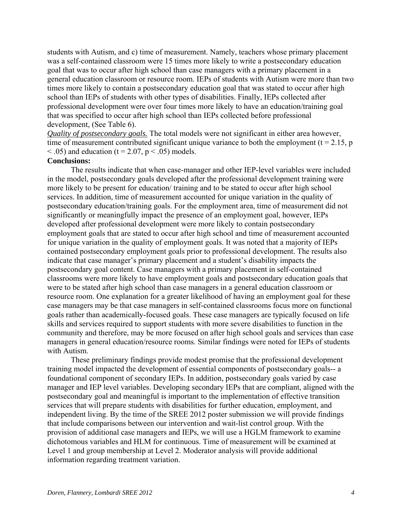students with Autism, and c) time of measurement. Namely, teachers whose primary placement was a self-contained classroom were 15 times more likely to write a postsecondary education goal that was to occur after high school than case managers with a primary placement in a general education classroom or resource room. IEPs of students with Autism were more than two times more likely to contain a postsecondary education goal that was stated to occur after high school than IEPs of students with other types of disabilities. Finally, IEPs collected after professional development were over four times more likely to have an education/training goal that was specified to occur after high school than IEPs collected before professional development, (See Table 6).

*Quality of postsecondary goals.* The total models were not significant in either area however, time of measurement contributed significant unique variance to both the employment ( $t = 2.15$ , p  $<$  0.05) and education (t = 2.07, p  $<$  0.05) models.

### **Conclusions:**

The results indicate that when case-manager and other IEP-level variables were included in the model, postsecondary goals developed after the professional development training were more likely to be present for education/ training and to be stated to occur after high school services. In addition, time of measurement accounted for unique variation in the quality of postsecondary education/training goals. For the employment area, time of measurement did not significantly or meaningfully impact the presence of an employment goal, however, IEPs developed after professional development were more likely to contain postsecondary employment goals that are stated to occur after high school and time of measurement accounted for unique variation in the quality of employment goals. It was noted that a majority of IEPs contained postsecondary employment goals prior to professional development. The results also indicate that case manager's primary placement and a student's disability impacts the postsecondary goal content. Case managers with a primary placement in self-contained classrooms were more likely to have employment goals and postsecondary education goals that were to be stated after high school than case managers in a general education classroom or resource room. One explanation for a greater likelihood of having an employment goal for these case managers may be that case managers in self-contained classrooms focus more on functional goals rather than academically-focused goals. These case managers are typically focused on life skills and services required to support students with more severe disabilities to function in the community and therefore, may be more focused on after high school goals and services than case managers in general education/resource rooms. Similar findings were noted for IEPs of students with Autism.

These preliminary findings provide modest promise that the professional development training model impacted the development of essential components of postsecondary goals-- a foundational component of secondary IEPs. In addition, postsecondary goals varied by case manager and IEP level variables. Developing secondary IEPs that are compliant, aligned with the postsecondary goal and meaningful is important to the implementation of effective transition services that will prepare students with disabilities for further education, employment, and independent living. By the time of the SREE 2012 poster submission we will provide findings that include comparisons between our intervention and wait-list control group. With the provision of additional case managers and IEPs, we will use a HGLM framework to examine dichotomous variables and HLM for continuous. Time of measurement will be examined at Level 1 and group membership at Level 2. Moderator analysis will provide additional information regarding treatment variation.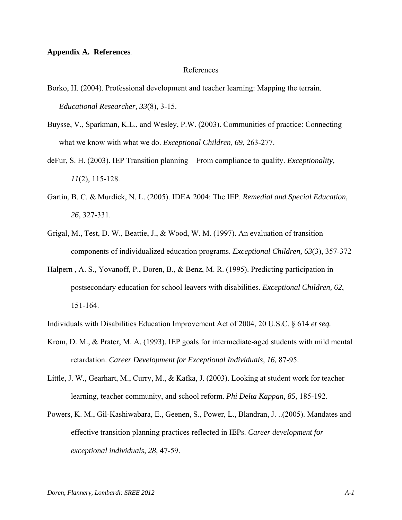#### **Appendix A. References***.*

#### References

- Borko, H. (2004). Professional development and teacher learning: Mapping the terrain. *Educational Researcher, 33*(8), 3-15.
- Buysse, V., Sparkman, K.L., and Wesley, P.W. (2003). Communities of practice: Connecting what we know with what we do. *Exceptional Children, 69*, 263-277.
- deFur, S. H. (2003). IEP Transition planning From compliance to quality. *Exceptionality, 11*(2), 115-128.
- Gartin, B. C. & Murdick, N. L. (2005). IDEA 2004: The IEP. *Remedial and Special Education, 26,* 327-331.
- Grigal, M., Test, D. W., Beattie, J., & Wood, W. M. (1997). An evaluation of transition components of individualized education programs. *Exceptional Children, 63*(3), 357-372
- Halpern , A. S., Yovanoff, P., Doren, B., & Benz, M. R. (1995). Predicting participation in postsecondary education for school leavers with disabilities. *Exceptional Children, 62*, 151-164.

Individuals with Disabilities Education Improvement Act of 2004, 20 U.S.C. § 614 *et seq.*

- Krom, D. M., & Prater, M. A. (1993). IEP goals for intermediate-aged students with mild mental retardation. *Career Development for Exceptional Individuals, 16,* 87-95.
- Little, J. W., Gearhart, M., Curry, M., & Kafka, J. (2003). Looking at student work for teacher learning, teacher community, and school reform. *Phi Delta Kappan, 85,* 185-192.
- Powers, K. M., Gil-Kashiwabara, E., Geenen, S., Power, L., Blandran, J. ..(2005). Mandates and effective transition planning practices reflected in IEPs. *Career development for exceptional individuals, 28,* 47-59.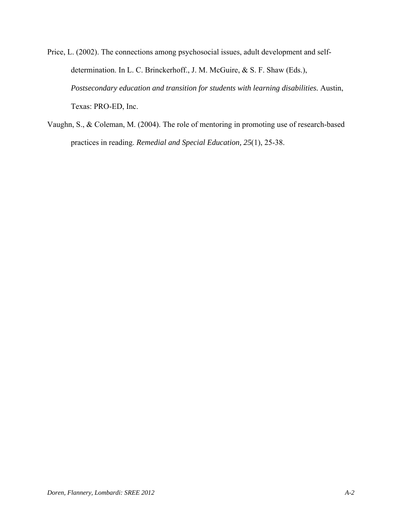Price, L. (2002). The connections among psychosocial issues, adult development and selfdetermination. In L. C. Brinckerhoff., J. M. McGuire, & S. F. Shaw (Eds.), *Postsecondary education and transition for students with learning disabilities.* Austin, Texas: PRO-ED, Inc.

Vaughn, S., & Coleman, M. (2004). The role of mentoring in promoting use of research-based practices in reading. *Remedial and Special Education, 25*(1), 25-38.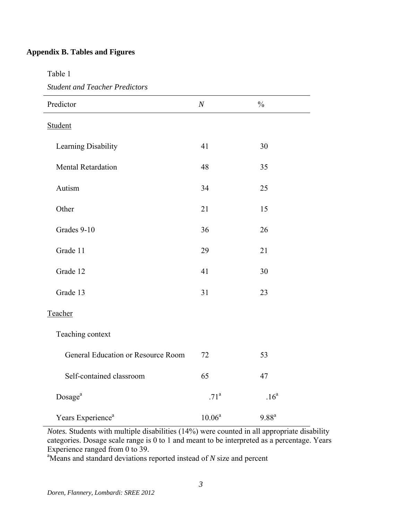# **Appendix B. Tables and Figures**

Table 1

*Student and Teacher Predictors* 

| Predictor                          | $\boldsymbol{N}$ | $\frac{0}{0}$    |  |
|------------------------------------|------------------|------------------|--|
| Student                            |                  |                  |  |
| Learning Disability                | 41               | 30               |  |
| <b>Mental Retardation</b>          | 48               | 35               |  |
| Autism                             | 34               | 25               |  |
| Other                              | 21               | 15               |  |
| Grades 9-10                        | 36               | 26               |  |
| Grade 11                           | 29               | 21               |  |
| Grade 12                           | 41               | 30               |  |
| Grade 13                           | 31               | 23               |  |
| Teacher                            |                  |                  |  |
| Teaching context                   |                  |                  |  |
| General Education or Resource Room | 72               | 53               |  |
| Self-contained classroom           | 65               | 47               |  |
| Dosage <sup>a</sup>                | .71 <sup>a</sup> | .16 <sup>a</sup> |  |
| Years Experience <sup>a</sup>      | $10.06^a$        | $9.88^{a}$       |  |

*Notes.* Students with multiple disabilities (14%) were counted in all appropriate disability categories. Dosage scale range is 0 to 1 and meant to be interpreted as a percentage. Years Experience ranged from 0 to 39.

<sup>a</sup>Means and standard deviations reported instead of *N* size and percent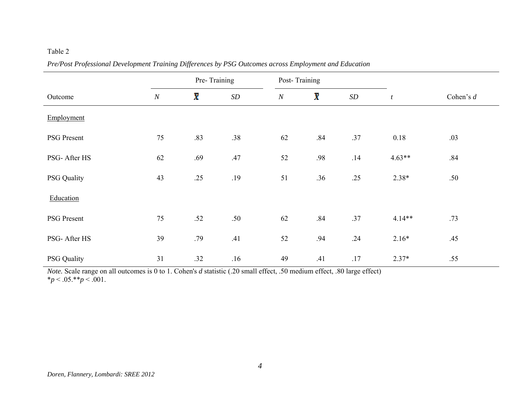| Outcome            |          | Pre-Training |           |          | Post-Training           |                   |                  |             |
|--------------------|----------|--------------|-----------|----------|-------------------------|-------------------|------------------|-------------|
|                    | $\cal N$ | X            | $\cal SD$ | $\cal N$ | $\overline{\mathbf{X}}$ | $\boldsymbol{SD}$ | $\boldsymbol{t}$ | Cohen's $d$ |
| Employment         |          |              |           |          |                         |                   |                  |             |
| PSG Present        | 75       | .83          | .38       | 62       | .84                     | .37               | 0.18             | .03         |
| PSG- After HS      | 62       | .69          | .47       | 52       | .98                     | .14               | $4.63**$         | .84         |
| <b>PSG Quality</b> | 43       | .25          | .19       | 51       | .36                     | .25               | $2.38*$          | .50         |
| Education          |          |              |           |          |                         |                   |                  |             |
| <b>PSG</b> Present | 75       | .52          | .50       | 62       | .84                     | .37               | $4.14**$         | .73         |
| PSG- After HS      | 39       | .79          | .41       | 52       | .94                     | .24               | $2.16*$          | .45         |
| <b>PSG Quality</b> | 31       | .32          | .16       | 49       | .41                     | .17               | $2.37*$          | .55         |

*Pre/Post Professional Development Training Differences by PSG Outcomes across Employment and Education* 

*Note.* Scale range on all outcomes is 0 to 1. Cohen's *d* statistic (.20 small effect, .50 medium effect, .80 large effect)  $*_{p}$  < .05.\*\**p* < .001.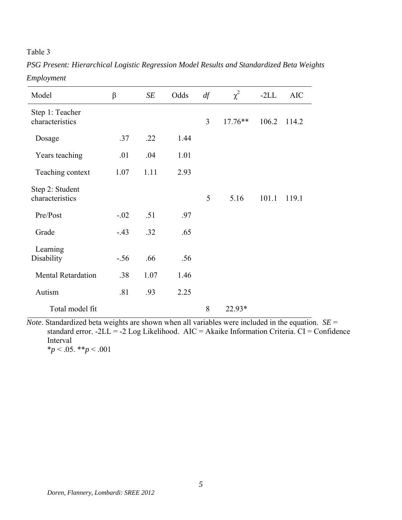*PSG Present: Hierarchical Logistic Regression Model Results and Standardized Beta Weights Employment* 

| Model                              | $\beta$ | SE   | Odds | df             | $\chi^2$  | $-2LL$ | <b>AIC</b> |
|------------------------------------|---------|------|------|----------------|-----------|--------|------------|
| Step 1: Teacher<br>characteristics |         |      |      | $\overline{3}$ | $17.76**$ | 106.2  | 114.2      |
| Dosage                             | .37     | .22  | 1.44 |                |           |        |            |
| Years teaching                     | .01     | .04  | 1.01 |                |           |        |            |
| Teaching context                   | 1.07    | 1.11 | 2.93 |                |           |        |            |
| Step 2: Student<br>characteristics |         |      |      | 5              | 5.16      | 101.1  | 119.1      |
| Pre/Post                           | $-.02$  | .51  | .97  |                |           |        |            |
| Grade                              | $-43$   | .32  | .65  |                |           |        |            |
| Learning<br>Disability             | $-.56$  | .66  | .56  |                |           |        |            |
| <b>Mental Retardation</b>          | .38     | 1.07 | 1.46 |                |           |        |            |
| Autism                             | .81     | .93  | 2.25 |                |           |        |            |
| Total model fit                    |         |      |      | 8              | $22.93*$  |        |            |

*Note*. Standardized beta weights are shown when all variables were included in the equation. *SE* = standard error.  $-2LL = -2$  Log Likelihood. AIC = Akaike Information Criteria. CI = Confidence Interval \**p* < .05. \*\**p* < .001

*Doren, Flannery, Lombardi: SREE 2012*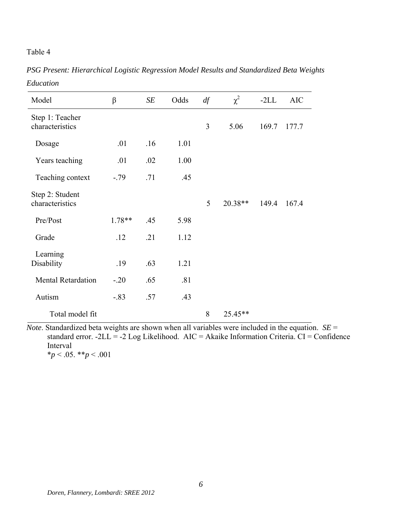*PSG Present: Hierarchical Logistic Regression Model Results and Standardized Beta Weights Education* 

| Model                              | $\beta$  | SE  | Odds | df | $\chi^2$  | $-2LL$ | <b>AIC</b> |
|------------------------------------|----------|-----|------|----|-----------|--------|------------|
| Step 1: Teacher<br>characteristics |          |     |      | 3  | 5.06      | 169.7  | 177.7      |
| Dosage                             | .01      | .16 | 1.01 |    |           |        |            |
| Years teaching                     | .01      | .02 | 1.00 |    |           |        |            |
| Teaching context                   | $-.79$   | .71 | .45  |    |           |        |            |
| Step 2: Student<br>characteristics |          |     |      | 5  | $20.38**$ | 149.4  | 167.4      |
| Pre/Post                           | $1.78**$ | .45 | 5.98 |    |           |        |            |
| Grade                              | .12      | .21 | 1.12 |    |           |        |            |
| Learning<br>Disability             | .19      | .63 | 1.21 |    |           |        |            |
| <b>Mental Retardation</b>          | $-.20$   | .65 | .81  |    |           |        |            |
| Autism                             | $-.83$   | .57 | .43  |    |           |        |            |
| Total model fit                    |          |     |      | 8  | $25.45**$ |        |            |

*Note*. Standardized beta weights are shown when all variables were included in the equation. *SE* = standard error.  $-2LL = -2 Log Likelihood$ . AIC = Akaike Information Criteria. CI = Confidence Interval  $*_{p}$  < .05.  $*_{p}$  < .001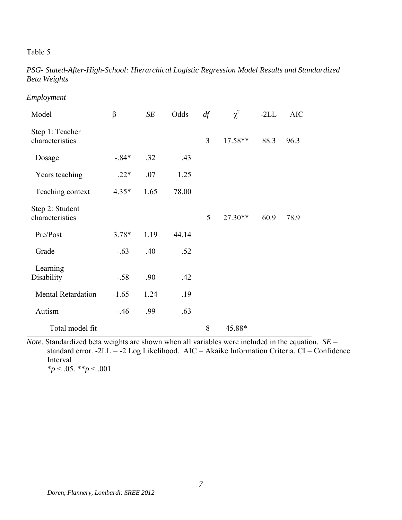*PSG- Stated-After-High-School: Hierarchical Logistic Regression Model Results and Standardized Beta Weights* 

| Model                              | $\beta$ | SE   | Odds  | df | $\chi^2$  | $-2LL$ | <b>AIC</b> |
|------------------------------------|---------|------|-------|----|-----------|--------|------------|
| Step 1: Teacher<br>characteristics |         |      |       | 3  | $17.58**$ | 88.3   | 96.3       |
| Dosage                             | $-.84*$ | .32  | .43   |    |           |        |            |
| Years teaching                     | $.22*$  | .07  | 1.25  |    |           |        |            |
| Teaching context                   | $4.35*$ | 1.65 | 78.00 |    |           |        |            |
| Step 2: Student<br>characteristics |         |      |       | 5  | $27.30**$ | 60.9   | 78.9       |
| Pre/Post                           | $3.78*$ | 1.19 | 44.14 |    |           |        |            |
| Grade                              | $-.63$  | .40  | .52   |    |           |        |            |
| Learning<br>Disability             | $-.58$  | .90  | .42   |    |           |        |            |
| <b>Mental Retardation</b>          | $-1.65$ | 1.24 | .19   |    |           |        |            |
| Autism                             | $-46$   | .99  | .63   |    |           |        |            |
| Total model fit                    |         |      |       | 8  | 45.88*    |        |            |

*Employment* 

*Note*. Standardized beta weights are shown when all variables were included in the equation. *SE* = standard error. -2LL = -2 Log Likelihood. AIC = Akaike Information Criteria. CI = Confidence Interval  $*_p$  < .05. \*\**p* < .001